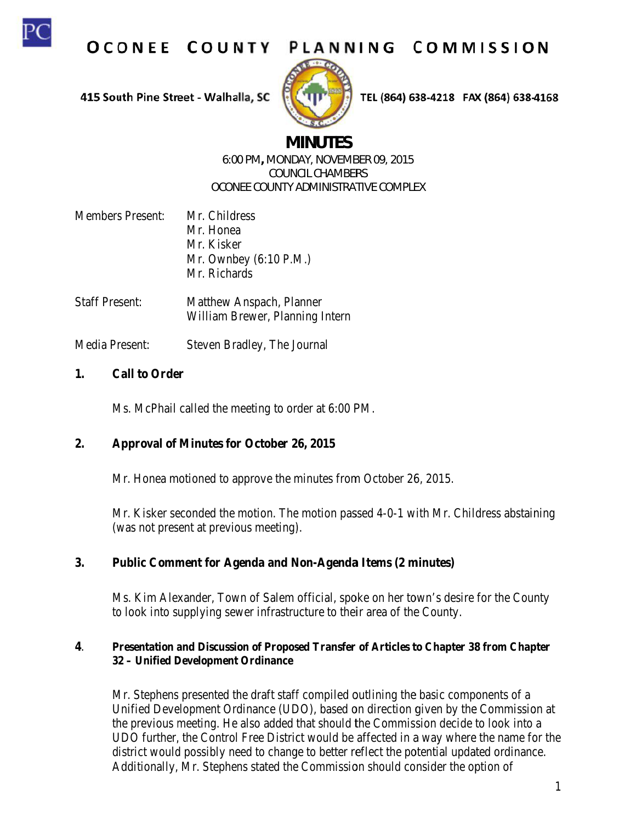

OCONEE COUNTY PLANNING COMMISSION

415 South Pine Street - Walhalla, SC



TEL (864) 638-4218 FAX (864) 638-4168

# **MINUTES**

### 6:00 PM, MONDAY, NOVEMBER 09, 2015 **COUNCIL CHAMBERS OCONEE COUNTY ADMINISTRATIVE COMPLEX**

| <b>Members Present:</b> | Mr. Childress                    |
|-------------------------|----------------------------------|
|                         | Mr. Honea                        |
|                         | Mr. Kisker                       |
|                         | Mr. Ownbey $(6:10 \text{ P.M.})$ |
|                         | Mr. Richards                     |
|                         |                                  |

**Staff Present:** Matthew Anspach, Planner William Brewer, Planning Intern

Media Present: Steven Bradley, The Journal

#### $\mathbf{1}$ . **Call to Order**

Ms. McPhail called the meeting to order at 6:00 PM.

#### $2.$ **Approval of Minutes for October 26, 2015**

Mr. Honea motioned to approve the minutes from October 26, 2015.

Mr. Kisker seconded the motion. The motion passed 4-0-1 with Mr. Childress abstaining (was not present at previous meeting).

#### $3.$ **Public Comment for Agenda and Non-Agenda Items (2 minutes)**

Ms. Kim Alexander, Town of Salem official, spoke on her town's desire for the County to look into supplying sewer infrastructure to their area of the County.

### $\overline{4}$ . Presentation and Discussion of Proposed Transfer of Articles to Chapter 38 from Chapter 32 – Unified Development Ordinance

Mr. Stephens presented the draft staff compiled outlining the basic components of a Unified Development Ordinance (UDO), based on direction given by the Commission at the previous meeting. He also added that should the Commission decide to look into a UDO further, the Control Free District would be affected in a way where the name for the district would possibly need to change to better reflect the potential updated ordinance. Additionally, Mr. Stephens stated the Commission should consider the option of